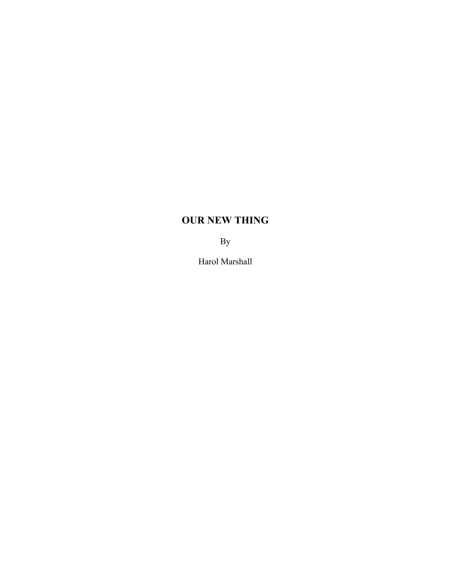## **OUR NEW THING**

By

Harol Marshall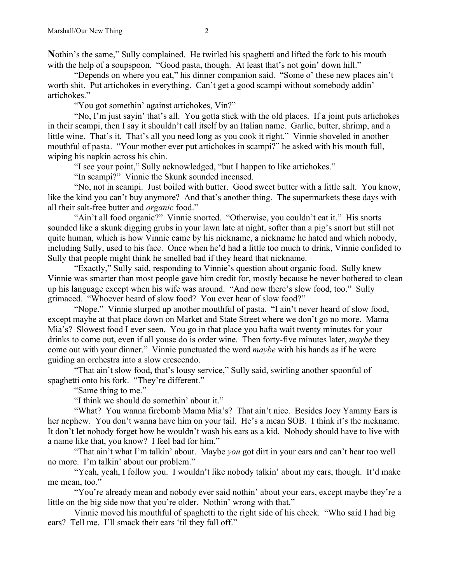**N**othin's the same," Sully complained. He twirled his spaghetti and lifted the fork to his mouth with the help of a soupspoon. "Good pasta, though. At least that's not goin' down hill."

"Depends on where you eat," his dinner companion said. "Some o' these new places ain't worth shit. Put artichokes in everything. Can't get a good scampi without somebody addin' artichokes."

"You got somethin' against artichokes, Vin?"

"No, I'm just sayin' that's all. You gotta stick with the old places. If a joint puts artichokes in their scampi, then I say it shouldn't call itself by an Italian name. Garlic, butter, shrimp, and a little wine. That's it. That's all you need long as you cook it right." Vinnie shoveled in another mouthful of pasta. "Your mother ever put artichokes in scampi?" he asked with his mouth full, wiping his napkin across his chin.

"I see your point," Sully acknowledged, "but I happen to like artichokes."

"In scampi?" Vinnie the Skunk sounded incensed.

"No, not in scampi. Just boiled with butter. Good sweet butter with a little salt. You know, like the kind you can't buy anymore? And that's another thing. The supermarkets these days with all their salt-free butter and *organic* food."

"Ain't all food organic?" Vinnie snorted. "Otherwise, you couldn't eat it." His snorts sounded like a skunk digging grubs in your lawn late at night, softer than a pig's snort but still not quite human, which is how Vinnie came by his nickname, a nickname he hated and which nobody, including Sully, used to his face. Once when he'd had a little too much to drink, Vinnie confided to Sully that people might think he smelled bad if they heard that nickname.

"Exactly," Sully said, responding to Vinnie's question about organic food. Sully knew Vinnie was smarter than most people gave him credit for, mostly because he never bothered to clean up his language except when his wife was around. "And now there's slow food, too." Sully grimaced. "Whoever heard of slow food? You ever hear of slow food?"

"Nope." Vinnie slurped up another mouthful of pasta. "I ain't never heard of slow food, except maybe at that place down on Market and State Street where we don't go no more. Mama Mia's? Slowest food I ever seen. You go in that place you hafta wait twenty minutes for your drinks to come out, even if all youse do is order wine. Then forty-five minutes later, *maybe* they come out with your dinner." Vinnie punctuated the word *maybe* with his hands as if he were guiding an orchestra into a slow crescendo.

"That ain't slow food, that's lousy service," Sully said, swirling another spoonful of spaghetti onto his fork. "They're different."

"Same thing to me."

"I think we should do somethin' about it."

"What? You wanna firebomb Mama Mia's? That ain't nice. Besides Joey Yammy Ears is her nephew. You don't wanna have him on your tail. He's a mean SOB. I think it's the nickname. It don't let nobody forget how he wouldn't wash his ears as a kid. Nobody should have to live with a name like that, you know? I feel bad for him."

"That ain't what I'm talkin' about. Maybe *you* got dirt in your ears and can't hear too well no more. I'm talkin' about our problem."

"Yeah, yeah, I follow you. I wouldn't like nobody talkin' about my ears, though. It'd make me mean, too."

"You're already mean and nobody ever said nothin' about your ears, except maybe they're a little on the big side now that you're older. Nothin' wrong with that."

Vinnie moved his mouthful of spaghetti to the right side of his cheek. "Who said I had big ears? Tell me. I'll smack their ears 'til they fall off."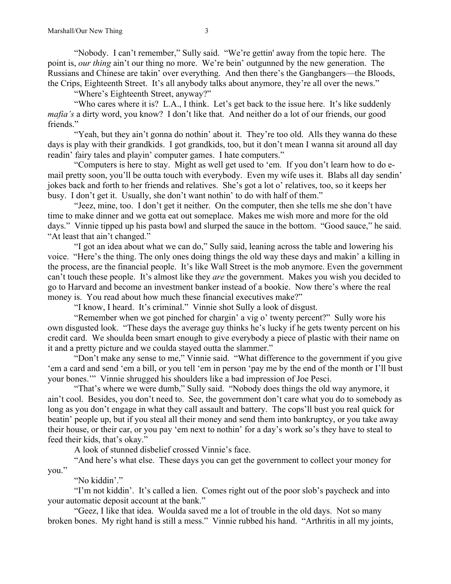"Nobody. I can't remember," Sully said. "We're gettin' away from the topic here. The point is, *our thing* ain't our thing no more. We're bein' outgunned by the new generation. The Russians and Chinese are takin' over everything. And then there's the Gangbangers—the Bloods, the Crips, Eighteenth Street. It's all anybody talks about anymore, they're all over the news."

"Where's Eighteenth Street, anyway?"

"Who cares where it is? L.A., I think. Let's get back to the issue here. It's like suddenly *mafia's* a dirty word, you know? I don't like that. And neither do a lot of our friends, our good friends."

"Yeah, but they ain't gonna do nothin' about it. They're too old. Alls they wanna do these days is play with their grandkids. I got grandkids, too, but it don't mean I wanna sit around all day readin' fairy tales and playin' computer games. I hate computers."

"Computers is here to stay. Might as well get used to 'em. If you don't learn how to do email pretty soon, you'll be outta touch with everybody. Even my wife uses it. Blabs all day sendin' jokes back and forth to her friends and relatives. She's got a lot o' relatives, too, so it keeps her busy. I don't get it. Usually, she don't want nothin' to do with half of them."

"Jeez, mine, too. I don't get it neither. On the computer, then she tells me she don't have time to make dinner and we gotta eat out someplace. Makes me wish more and more for the old days." Vinnie tipped up his pasta bowl and slurped the sauce in the bottom. "Good sauce," he said. "At least that ain't changed."

"I got an idea about what we can do," Sully said, leaning across the table and lowering his voice. "Here's the thing. The only ones doing things the old way these days and makin' a killing in the process, are the financial people. It's like Wall Street is the mob anymore. Even the government can't touch these people. It's almost like they *are* the government. Makes you wish you decided to go to Harvard and become an investment banker instead of a bookie. Now there's where the real money is. You read about how much these financial executives make?"

"I know, I heard. It's criminal." Vinnie shot Sully a look of disgust.

"Remember when we got pinched for chargin' a vig o' twenty percent?" Sully wore his own disgusted look. "These days the average guy thinks he's lucky if he gets twenty percent on his credit card. We shoulda been smart enough to give everybody a piece of plastic with their name on it and a pretty picture and we coulda stayed outta the slammer."

"Don't make any sense to me," Vinnie said. "What difference to the government if you give 'em a card and send 'em a bill, or you tell 'em in person 'pay me by the end of the month or I'll bust your bones.'" Vinnie shrugged his shoulders like a bad impression of Joe Pesci.

"That's where we were dumb," Sully said. "Nobody does things the old way anymore, it ain't cool. Besides, you don't need to. See, the government don't care what you do to somebody as long as you don't engage in what they call assault and battery. The cops'll bust you real quick for beatin' people up, but if you steal all their money and send them into bankruptcy, or you take away their house, or their car, or you pay 'em next to nothin' for a day's work so's they have to steal to feed their kids, that's okay."

A look of stunned disbelief crossed Vinnie's face.

"And here's what else. These days you can get the government to collect your money for you."

"No kiddin'."

"I'm not kiddin'. It's called a lien. Comes right out of the poor slob's paycheck and into your automatic deposit account at the bank."

"Geez, I like that idea. Woulda saved me a lot of trouble in the old days. Not so many broken bones. My right hand is still a mess." Vinnie rubbed his hand. "Arthritis in all my joints,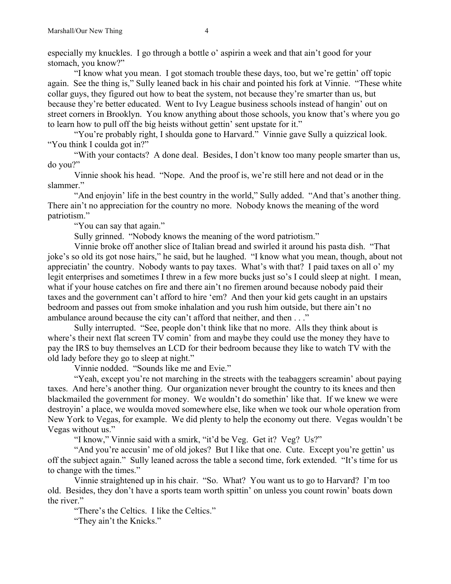especially my knuckles. I go through a bottle o' aspirin a week and that ain't good for your stomach, you know?"

"I know what you mean. I got stomach trouble these days, too, but we're gettin' off topic again. See the thing is," Sully leaned back in his chair and pointed his fork at Vinnie. "These white collar guys, they figured out how to beat the system, not because they're smarter than us, but because they're better educated. Went to Ivy League business schools instead of hangin' out on street corners in Brooklyn. You know anything about those schools, you know that's where you go to learn how to pull off the big heists without gettin' sent upstate for it."

"You're probably right, I shoulda gone to Harvard." Vinnie gave Sully a quizzical look. "You think I coulda got in?"

"With your contacts? A done deal. Besides, I don't know too many people smarter than us, do you?"

Vinnie shook his head. "Nope. And the proof is, we're still here and not dead or in the slammer."

"And enjoyin' life in the best country in the world," Sully added. "And that's another thing. There ain't no appreciation for the country no more. Nobody knows the meaning of the word patriotism."

"You can say that again."

Sully grinned. "Nobody knows the meaning of the word patriotism."

Vinnie broke off another slice of Italian bread and swirled it around his pasta dish. "That joke's so old its got nose hairs," he said, but he laughed. "I know what you mean, though, about not appreciatin' the country. Nobody wants to pay taxes. What's with that? I paid taxes on all o' my legit enterprises and sometimes I threw in a few more bucks just so's I could sleep at night. I mean, what if your house catches on fire and there ain't no firemen around because nobody paid their taxes and the government can't afford to hire 'em? And then your kid gets caught in an upstairs bedroom and passes out from smoke inhalation and you rush him outside, but there ain't no ambulance around because the city can't afford that neither, and then . . ."

Sully interrupted. "See, people don't think like that no more. Alls they think about is where's their next flat screen TV comin' from and maybe they could use the money they have to pay the IRS to buy themselves an LCD for their bedroom because they like to watch TV with the old lady before they go to sleep at night."

Vinnie nodded. "Sounds like me and Evie."

"Yeah, except you're not marching in the streets with the teabaggers screamin' about paying taxes. And here's another thing. Our organization never brought the country to its knees and then blackmailed the government for money. We wouldn't do somethin' like that. If we knew we were destroyin' a place, we woulda moved somewhere else, like when we took our whole operation from New York to Vegas, for example. We did plenty to help the economy out there. Vegas wouldn't be Vegas without us."

"I know," Vinnie said with a smirk, "it'd be Veg. Get it? Veg? Us?"

"And you're accusin' me of old jokes? But I like that one. Cute. Except you're gettin' us off the subject again." Sully leaned across the table a second time, fork extended. "It's time for us to change with the times."

Vinnie straightened up in his chair. "So. What? You want us to go to Harvard? I'm too old. Besides, they don't have a sports team worth spittin' on unless you count rowin' boats down the river."

"There's the Celtics. I like the Celtics."

"They ain't the Knicks."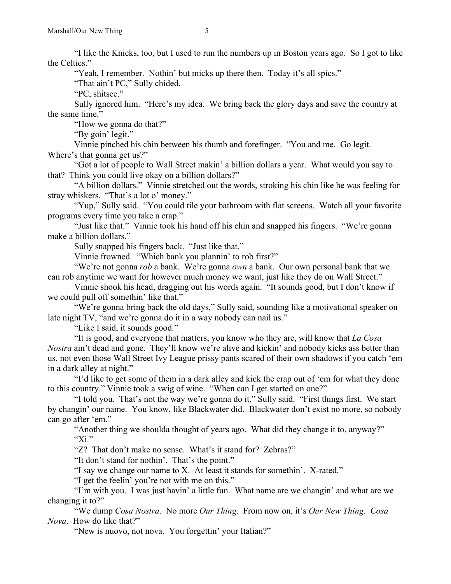"I like the Knicks, too, but I used to run the numbers up in Boston years ago. So I got to like the Celtics."

"Yeah, I remember. Nothin' but micks up there then. Today it's all spics."

"That ain't PC," Sully chided.

"PC, shitsee."

Sully ignored him. "Here's my idea. We bring back the glory days and save the country at the same time."

"How we gonna do that?"

"By goin' legit."

Vinnie pinched his chin between his thumb and forefinger. "You and me. Go legit. Where's that gonna get us?"

"Got a lot of people to Wall Street makin' a billion dollars a year. What would you say to that? Think you could live okay on a billion dollars?"

"A billion dollars." Vinnie stretched out the words, stroking his chin like he was feeling for stray whiskers. "That's a lot o' money."

"Yup," Sully said. "You could tile your bathroom with flat screens. Watch all your favorite programs every time you take a crap."

"Just like that." Vinnie took his hand off his chin and snapped his fingers. "We're gonna make a billion dollars."

Sully snapped his fingers back. "Just like that."

Vinnie frowned. "Which bank you plannin' to rob first?"

"We're not gonna *rob* a bank. We're gonna *own* a bank. Our own personal bank that we can rob anytime we want for however much money we want, just like they do on Wall Street."

Vinnie shook his head, dragging out his words again. "It sounds good, but I don't know if we could pull off somethin' like that."

"We're gonna bring back the old days," Sully said, sounding like a motivational speaker on late night TV, "and we're gonna do it in a way nobody can nail us."

"Like I said, it sounds good."

"It is good, and everyone that matters, you know who they are, will know that *La Cosa Nostra* ain't dead and gone. They'll know we're alive and kickin' and nobody kicks ass better than us, not even those Wall Street Ivy League prissy pants scared of their own shadows if you catch 'em in a dark alley at night."

"I'd like to get some of them in a dark alley and kick the crap out of 'em for what they done to this country." Vinnie took a swig of wine. "When can I get started on one?"

"I told you. That's not the way we're gonna do it," Sully said. "First things first. We start by changin' our name. You know, like Blackwater did. Blackwater don't exist no more, so nobody can go after 'em."

"Another thing we shoulda thought of years ago. What did they change it to, anyway?" " $Xi$ ."

"Z? That don't make no sense. What's it stand for? Zebras?"

"It don't stand for nothin'. That's the point."

"I say we change our name to X. At least it stands for somethin'. X-rated."

"I get the feelin' you're not with me on this."

"I'm with you. I was just havin' a little fun. What name are we changin' and what are we changing it to?"

"We dump *Cosa Nostra*. No more *Our Thing*. From now on, it's *Our New Thing. Cosa Nova*. How do like that?"

"New is nuovo, not nova. You forgettin' your Italian?"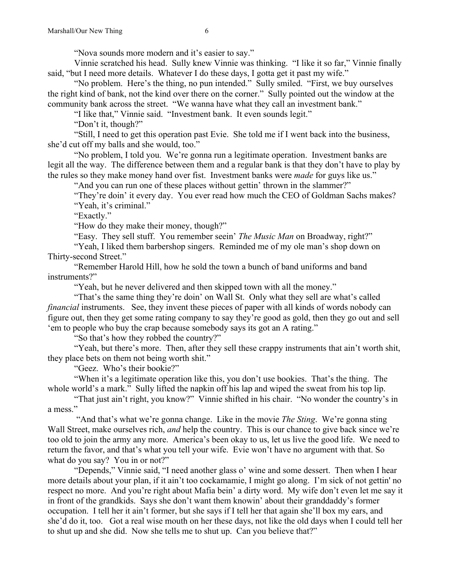"Nova sounds more modern and it's easier to say."

Vinnie scratched his head. Sully knew Vinnie was thinking. "I like it so far," Vinnie finally said, "but I need more details. Whatever I do these days, I gotta get it past my wife."

"No problem. Here's the thing, no pun intended." Sully smiled. "First, we buy ourselves the right kind of bank, not the kind over there on the corner." Sully pointed out the window at the community bank across the street. "We wanna have what they call an investment bank."

"I like that," Vinnie said. "Investment bank. It even sounds legit."

"Don't it, though?"

"Still, I need to get this operation past Evie. She told me if I went back into the business, she'd cut off my balls and she would, too."

"No problem, I told you. We're gonna run a legitimate operation. Investment banks are legit all the way. The difference between them and a regular bank is that they don't have to play by the rules so they make money hand over fist. Investment banks were *made* for guys like us."

"And you can run one of these places without gettin' thrown in the slammer?"

"They're doin' it every day. You ever read how much the CEO of Goldman Sachs makes? "Yeah, it's criminal."

"Exactly."

"How do they make their money, though?"

"Easy. They sell stuff. You remember seein' *The Music Man* on Broadway, right?"

"Yeah, I liked them barbershop singers. Reminded me of my ole man's shop down on Thirty-second Street."

"Remember Harold Hill, how he sold the town a bunch of band uniforms and band instruments?"

"Yeah, but he never delivered and then skipped town with all the money."

"That's the same thing they're doin' on Wall St. Only what they sell are what's called *financial* instruments. See, they invent these pieces of paper with all kinds of words nobody can figure out, then they get some rating company to say they're good as gold, then they go out and sell 'em to people who buy the crap because somebody says its got an A rating."

"So that's how they robbed the country?"

"Yeah, but there's more. Then, after they sell these crappy instruments that ain't worth shit, they place bets on them not being worth shit."

"Geez. Who's their bookie?"

"When it's a legitimate operation like this, you don't use bookies. That's the thing. The whole world's a mark." Sully lifted the napkin off his lap and wiped the sweat from his top lip.

"That just ain't right, you know?" Vinnie shifted in his chair. "No wonder the country's in a mess."

"And that's what we're gonna change. Like in the movie *The Sting*. We're gonna sting Wall Street, make ourselves rich, *and* help the country. This is our chance to give back since we're too old to join the army any more. America's been okay to us, let us live the good life. We need to return the favor, and that's what you tell your wife. Evie won't have no argument with that. So what do you say? You in or not?"

"Depends," Vinnie said, "I need another glass o' wine and some dessert. Then when I hear more details about your plan, if it ain't too cockamamie, I might go along. I'm sick of not gettin' no respect no more. And you're right about Mafia bein' a dirty word. My wife don't even let me say it in front of the grandkids. Says she don't want them knowin' about their granddaddy's former occupation. I tell her it ain't former, but she says if I tell her that again she'll box my ears, and she'd do it, too. Got a real wise mouth on her these days, not like the old days when I could tell her to shut up and she did. Now she tells me to shut up. Can you believe that?"